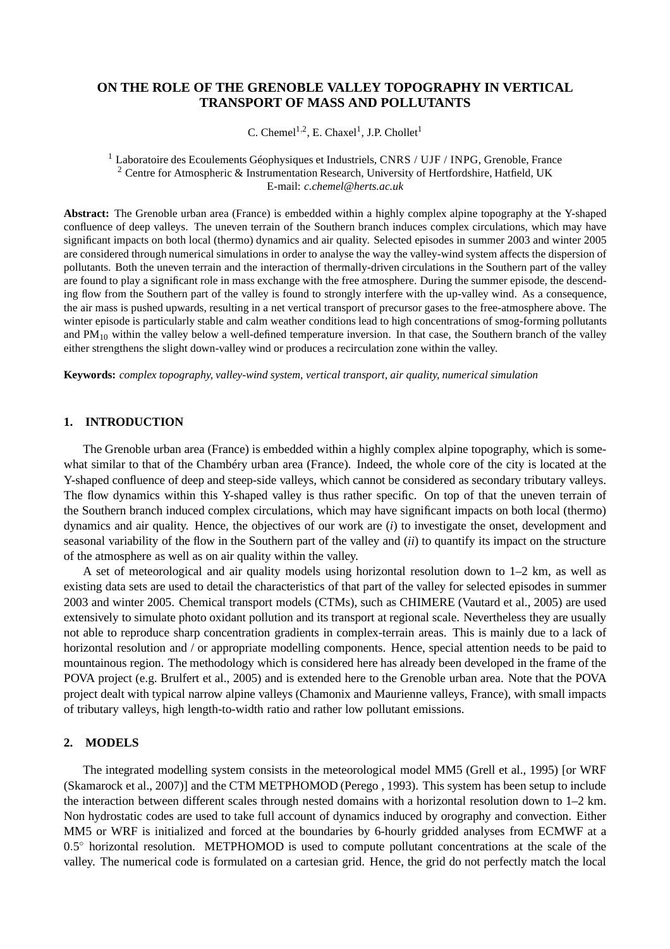# **ON THE ROLE OF THE GRENOBLE VALLEY TOPOGRAPHY IN VERTICAL TRANSPORT OF MASS AND POLLUTANTS**

C. Chemel<sup>1,2</sup>, E. Chaxel<sup>1</sup>, J.P. Chollet<sup>1</sup>

<sup>1</sup> Laboratoire des Ecoulements Géophysiques et Industriels, CNRS / UJF / INPG, Grenoble, France <sup>2</sup> Centre for Atmospheric & Instrumentation Research, University of Hertfordshire, Hatfield, UK E-mail: *c.chemel@herts.ac.uk*

**Abstract:** The Grenoble urban area (France) is embedded within a highly complex alpine topography at the Y-shaped confluence of deep valleys. The uneven terrain of the Southern branch induces complex circulations, which may have significant impacts on both local (thermo) dynamics and air quality. Selected episodes in summer 2003 and winter 2005 are considered through numerical simulations in order to analyse the way the valley-wind system affects the dispersion of pollutants. Both the uneven terrain and the interaction of thermally-driven circulations in the Southern part of the valley are found to play a significant role in mass exchange with the free atmosphere. During the summer episode, the descending flow from the Southern part of the valley is found to strongly interfere with the up-valley wind. As a consequence, the air mass is pushed upwards, resulting in a net vertical transport of precursor gases to the free-atmosphere above. The winter episode is particularly stable and calm weather conditions lead to high concentrations of smog-forming pollutants and  $PM_{10}$  within the valley below a well-defined temperature inversion. In that case, the Southern branch of the valley either strengthens the slight down-valley wind or produces a recirculation zone within the valley.

**Keywords:** *complex topography, valley-wind system, vertical transport, air quality, numerical simulation*

## **1. INTRODUCTION**

The Grenoble urban area (France) is embedded within a highly complex alpine topography, which is somewhat similar to that of the Chambéry urban area (France). Indeed, the whole core of the city is located at the Y-shaped confluence of deep and steep-side valleys, which cannot be considered as secondary tributary valleys. The flow dynamics within this Y-shaped valley is thus rather specific. On top of that the uneven terrain of the Southern branch induced complex circulations, which may have significant impacts on both local (thermo) dynamics and air quality. Hence, the objectives of our work are (*i*) to investigate the onset, development and seasonal variability of the flow in the Southern part of the valley and (*ii*) to quantify its impact on the structure of the atmosphere as well as on air quality within the valley.

A set of meteorological and air quality models using horizontal resolution down to 1–2 km, as well as existing data sets are used to detail the characteristics of that part of the valley for selected episodes in summer 2003 and winter 2005. Chemical transport models (CTMs), such as CHIMERE (Vautard et al., 2005) are used extensively to simulate photo oxidant pollution and its transport at regional scale. Nevertheless they are usually not able to reproduce sharp concentration gradients in complex-terrain areas. This is mainly due to a lack of horizontal resolution and / or appropriate modelling components. Hence, special attention needs to be paid to mountainous region. The methodology which is considered here has already been developed in the frame of the POVA project (e.g. Brulfert et al., 2005) and is extended here to the Grenoble urban area. Note that the POVA project dealt with typical narrow alpine valleys (Chamonix and Maurienne valleys, France), with small impacts of tributary valleys, high length-to-width ratio and rather low pollutant emissions.

### **2. MODELS**

The integrated modelling system consists in the meteorological model MM5 (Grell et al., 1995) [or WRF (Skamarock et al., 2007)] and the CTM METPHOMOD (Perego , 1993). This system has been setup to include the interaction between different scales through nested domains with a horizontal resolution down to 1–2 km. Non hydrostatic codes are used to take full account of dynamics induced by orography and convection. Either MM5 or WRF is initialized and forced at the boundaries by 6-hourly gridded analyses from ECMWF at a 0.5<sup>°</sup> horizontal resolution. METPHOMOD is used to compute pollutant concentrations at the scale of the valley. The numerical code is formulated on a cartesian grid. Hence, the grid do not perfectly match the local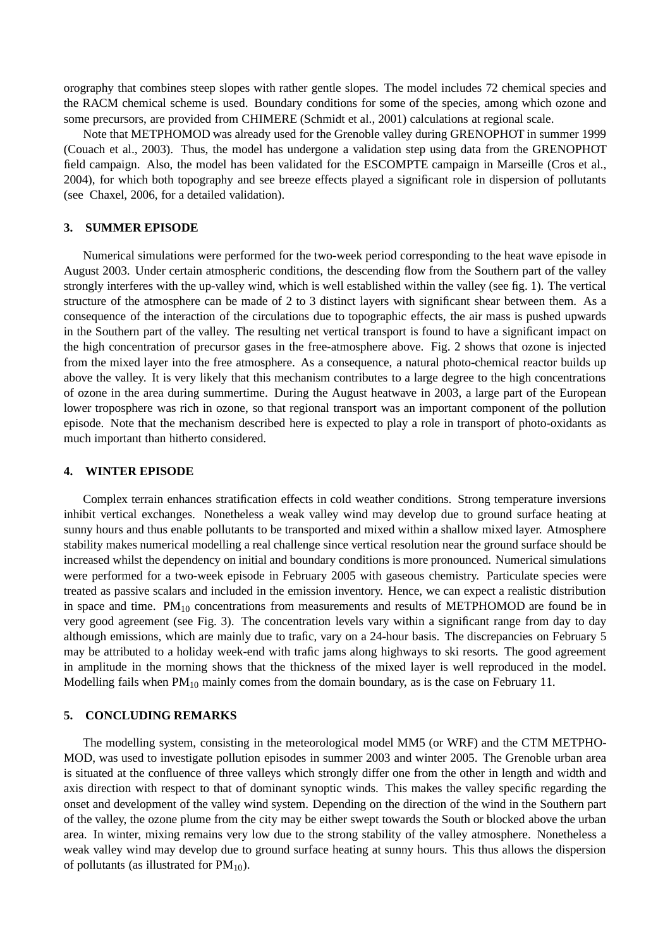orography that combines steep slopes with rather gentle slopes. The model includes 72 chemical species and the RACM chemical scheme is used. Boundary conditions for some of the species, among which ozone and some precursors, are provided from CHIMERE (Schmidt et al., 2001) calculations at regional scale.

Note that METPHOMOD was already used for the Grenoble valley during GRENOPHOT in summer 1999 (Couach et al., 2003). Thus, the model has undergone a validation step using data from the GRENOPHOT field campaign. Also, the model has been validated for the ESCOMPTE campaign in Marseille (Cros et al., 2004), for which both topography and see breeze effects played a significant role in dispersion of pollutants (see Chaxel, 2006, for a detailed validation).

### **3. SUMMER EPISODE**

Numerical simulations were performed for the two-week period corresponding to the heat wave episode in August 2003. Under certain atmospheric conditions, the descending flow from the Southern part of the valley strongly interferes with the up-valley wind, which is well established within the valley (see fig. 1). The vertical structure of the atmosphere can be made of 2 to 3 distinct layers with significant shear between them. As a consequence of the interaction of the circulations due to topographic effects, the air mass is pushed upwards in the Southern part of the valley. The resulting net vertical transport is found to have a significant impact on the high concentration of precursor gases in the free-atmosphere above. Fig. 2 shows that ozone is injected from the mixed layer into the free atmosphere. As a consequence, a natural photo-chemical reactor builds up above the valley. It is very likely that this mechanism contributes to a large degree to the high concentrations of ozone in the area during summertime. During the August heatwave in 2003, a large part of the European lower troposphere was rich in ozone, so that regional transport was an important component of the pollution episode. Note that the mechanism described here is expected to play a role in transport of photo-oxidants as much important than hitherto considered.

#### **4. WINTER EPISODE**

Complex terrain enhances stratification effects in cold weather conditions. Strong temperature inversions inhibit vertical exchanges. Nonetheless a weak valley wind may develop due to ground surface heating at sunny hours and thus enable pollutants to be transported and mixed within a shallow mixed layer. Atmosphere stability makes numerical modelling a real challenge since vertical resolution near the ground surface should be increased whilst the dependency on initial and boundary conditions is more pronounced. Numerical simulations were performed for a two-week episode in February 2005 with gaseous chemistry. Particulate species were treated as passive scalars and included in the emission inventory. Hence, we can expect a realistic distribution in space and time. PM<sub>10</sub> concentrations from measurements and results of METPHOMOD are found be in very good agreement (see Fig. 3). The concentration levels vary within a significant range from day to day although emissions, which are mainly due to trafic, vary on a 24-hour basis. The discrepancies on February 5 may be attributed to a holiday week-end with trafic jams along highways to ski resorts. The good agreement in amplitude in the morning shows that the thickness of the mixed layer is well reproduced in the model. Modelling fails when  $PM_{10}$  mainly comes from the domain boundary, as is the case on February 11.

### **5. CONCLUDING REMARKS**

The modelling system, consisting in the meteorological model MM5 (or WRF) and the CTM METPHO-MOD, was used to investigate pollution episodes in summer 2003 and winter 2005. The Grenoble urban area is situated at the confluence of three valleys which strongly differ one from the other in length and width and axis direction with respect to that of dominant synoptic winds. This makes the valley specific regarding the onset and development of the valley wind system. Depending on the direction of the wind in the Southern part of the valley, the ozone plume from the city may be either swept towards the South or blocked above the urban area. In winter, mixing remains very low due to the strong stability of the valley atmosphere. Nonetheless a weak valley wind may develop due to ground surface heating at sunny hours. This thus allows the dispersion of pollutants (as illustrated for  $PM_{10}$ ).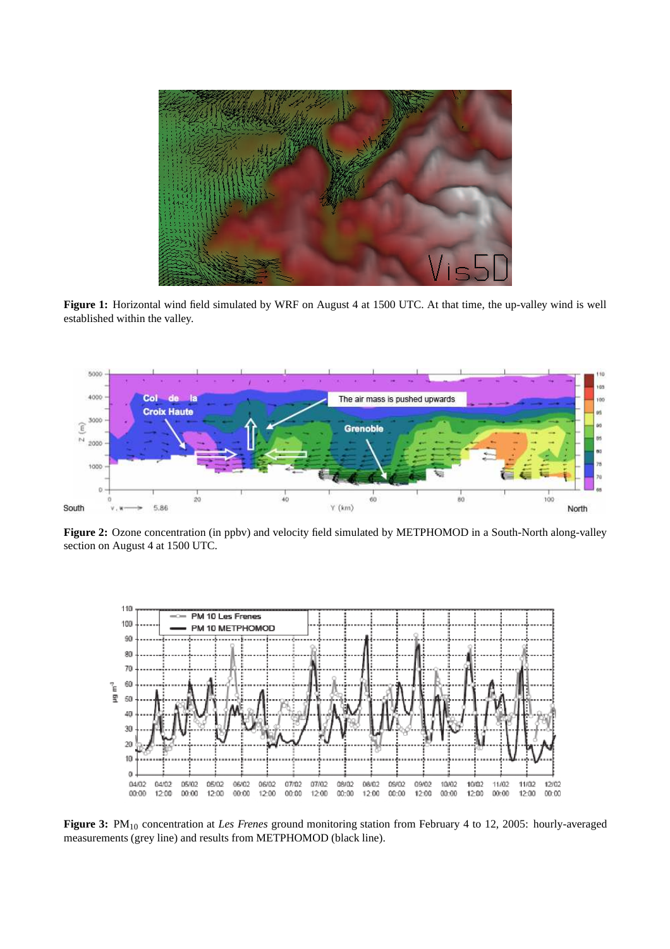

**Figure 1:** Horizontal wind field simulated by WRF on August 4 at 1500 UTC. At that time, the up-valley wind is well established within the valley.



**Figure 2:** Ozone concentration (in ppbv) and velocity field simulated by METPHOMOD in a South-North along-valley section on August 4 at 1500 UTC.



**Figure 3:** PM<sup>10</sup> concentration at *Les Frenes* ground monitoring station from February 4 to 12, 2005: hourly-averaged measurements (grey line) and results from METPHOMOD (black line).